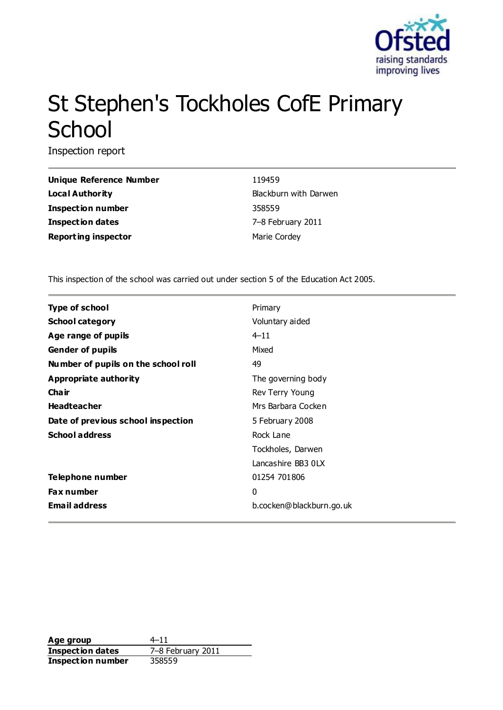

# St Stephen's Tockholes CofE Primary **School**

Inspection report

| Unique Reference Number    | 119459        |
|----------------------------|---------------|
| Local Authority            | Blackburn wit |
| <b>Inspection number</b>   | 358559        |
| <b>Inspection dates</b>    | 7-8 February  |
| <b>Reporting inspector</b> | Marie Cordey  |

**Unique Reference Number** 119459 **Blackburn with Darwen Inspection number** 358559 **Inspection dates** 7–8 February 2011

This inspection of the school was carried out under section 5 of the Education Act 2005.

| Type of school                      | Primary                  |
|-------------------------------------|--------------------------|
| <b>School category</b>              | Voluntary aided          |
| Age range of pupils                 | $4 - 11$                 |
| <b>Gender of pupils</b>             | Mixed                    |
| Number of pupils on the school roll | 49                       |
| Appropriate authority               | The governing body       |
| Cha ir                              | Rev Terry Young          |
| <b>Headteacher</b>                  | Mrs Barbara Cocken       |
| Date of previous school inspection  | 5 February 2008          |
| <b>School address</b>               | Rock Lane                |
|                                     | Tockholes, Darwen        |
|                                     | Lancashire BB3 0LX       |
| Telephone number                    | 01254 701806             |
| <b>Fax number</b>                   | 0                        |
| <b>Email address</b>                | b.cocken@blackburn.go.uk |

**Age group** 4–11 **Inspection dates** 7–8 February 2011 **Inspection number** 358559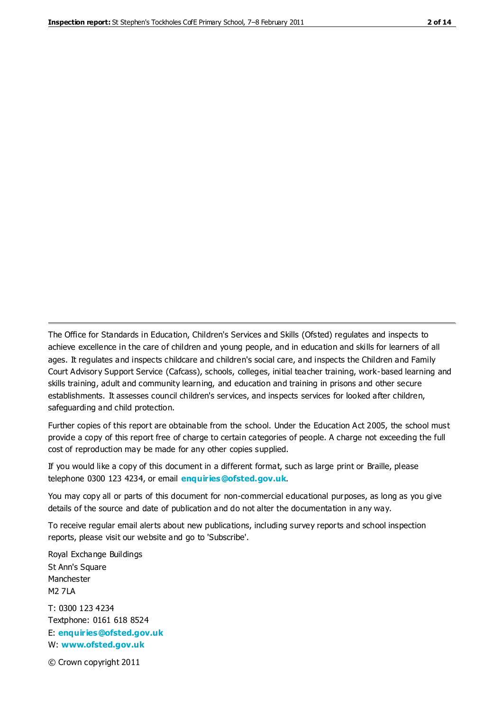The Office for Standards in Education, Children's Services and Skills (Ofsted) regulates and inspects to achieve excellence in the care of children and young people, and in education and skills for learners of all ages. It regulates and inspects childcare and children's social care, and inspects the Children and Family Court Advisory Support Service (Cafcass), schools, colleges, initial teacher training, work-based learning and skills training, adult and community learning, and education and training in prisons and other secure establishments. It assesses council children's services, and inspects services for looked after children, safeguarding and child protection.

Further copies of this report are obtainable from the school. Under the Education Act 2005, the school must provide a copy of this report free of charge to certain categories of people. A charge not exceeding the full cost of reproduction may be made for any other copies supplied.

If you would like a copy of this document in a different format, such as large print or Braille, please telephone 0300 123 4234, or email **[enquiries@ofsted.gov.uk](mailto:enquiries@ofsted.gov.uk)**.

You may copy all or parts of this document for non-commercial educational purposes, as long as you give details of the source and date of publication and do not alter the documentation in any way.

To receive regular email alerts about new publications, including survey reports and school inspection reports, please visit our website and go to 'Subscribe'.

Royal Exchange Buildings St Ann's Square Manchester M2 7LA T: 0300 123 4234 Textphone: 0161 618 8524 E: **[enquiries@ofsted.gov.uk](mailto:enquiries@ofsted.gov.uk)**

W: **[www.ofsted.gov.uk](http://www.ofsted.gov.uk/)**

© Crown copyright 2011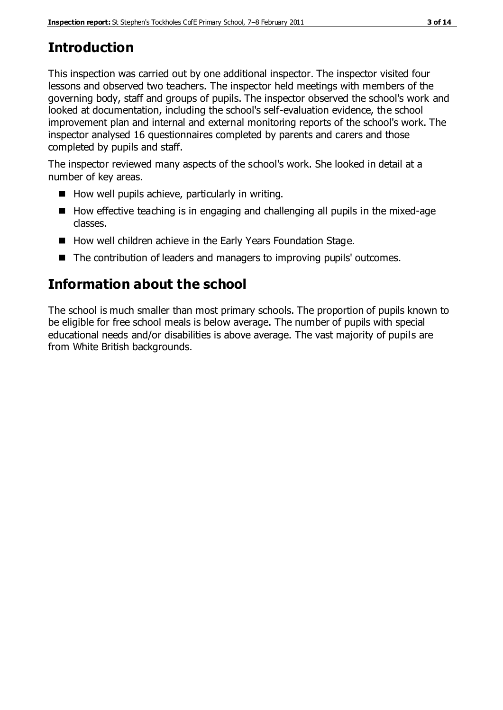# **Introduction**

This inspection was carried out by one additional inspector. The inspector visited four lessons and observed two teachers. The inspector held meetings with members of the governing body, staff and groups of pupils. The inspector observed the school's work and looked at documentation, including the school's self-evaluation evidence, the school improvement plan and internal and external monitoring reports of the school's work. The inspector analysed 16 questionnaires completed by parents and carers and those completed by pupils and staff.

The inspector reviewed many aspects of the school's work. She looked in detail at a number of key areas.

- $\blacksquare$  How well pupils achieve, particularly in writing.
- $\blacksquare$  How effective teaching is in engaging and challenging all pupils in the mixed-age classes.
- How well children achieve in the Early Years Foundation Stage.
- The contribution of leaders and managers to improving pupils' outcomes.

## **Information about the school**

The school is much smaller than most primary schools. The proportion of pupils known to be eligible for free school meals is below average. The number of pupils with special educational needs and/or disabilities is above average. The vast majority of pupils are from White British backgrounds.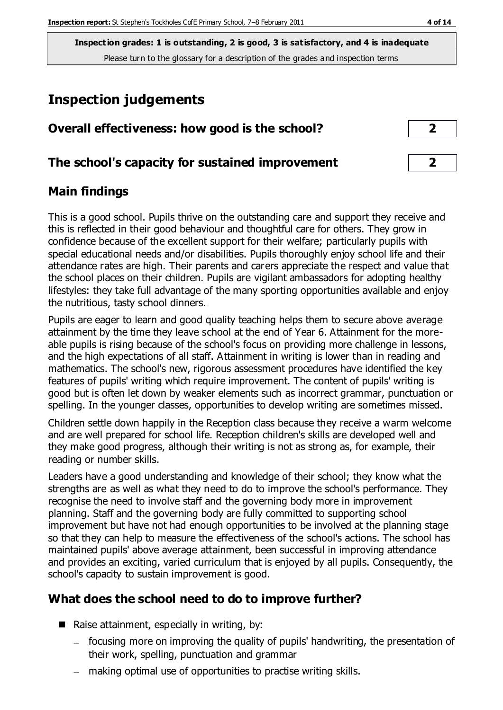**Inspection grades: 1 is outstanding, 2 is good, 3 is satisfactory, and 4 is inadequate** Please turn to the glossary for a description of the grades and inspection terms

### **Inspection judgements**

| Overall effectiveness: how good is the school?  | ◚ |  |
|-------------------------------------------------|---|--|
| The school's capacity for sustained improvement |   |  |

#### **Main findings**

This is a good school. Pupils thrive on the outstanding care and support they receive and this is reflected in their good behaviour and thoughtful care for others. They grow in confidence because of the excellent support for their welfare; particularly pupils with special educational needs and/or disabilities. Pupils thoroughly enjoy school life and their attendance rates are high. Their parents and carers appreciate the respect and value that the school places on their children. Pupils are vigilant ambassadors for adopting healthy lifestyles: they take full advantage of the many sporting opportunities available and enjoy the nutritious, tasty school dinners.

Pupils are eager to learn and good quality teaching helps them to secure above average attainment by the time they leave school at the end of Year 6. Attainment for the moreable pupils is rising because of the school's focus on providing more challenge in lessons, and the high expectations of all staff. Attainment in writing is lower than in reading and mathematics. The school's new, rigorous assessment procedures have identified the key features of pupils' writing which require improvement. The content of pupils' writing is good but is often let down by weaker elements such as incorrect grammar, punctuation or spelling. In the younger classes, opportunities to develop writing are sometimes missed.

Children settle down happily in the Reception class because they receive a warm welcome and are well prepared for school life. Reception children's skills are developed well and they make good progress, although their writing is not as strong as, for example, their reading or number skills.

Leaders have a good understanding and knowledge of their school; they know what the strengths are as well as what they need to do to improve the school's performance. They recognise the need to involve staff and the governing body more in improvement planning. Staff and the governing body are fully committed to supporting school improvement but have not had enough opportunities to be involved at the planning stage so that they can help to measure the effectiveness of the school's actions. The school has maintained pupils' above average attainment, been successful in improving attendance and provides an exciting, varied curriculum that is enjoyed by all pupils. Consequently, the school's capacity to sustain improvement is good.

#### **What does the school need to do to improve further?**

- Raise attainment, especially in writing, by:
	- focusing more on improving the quality of pupils' handwriting, the presentation of their work, spelling, punctuation and grammar
	- making optimal use of opportunities to practise writing skills.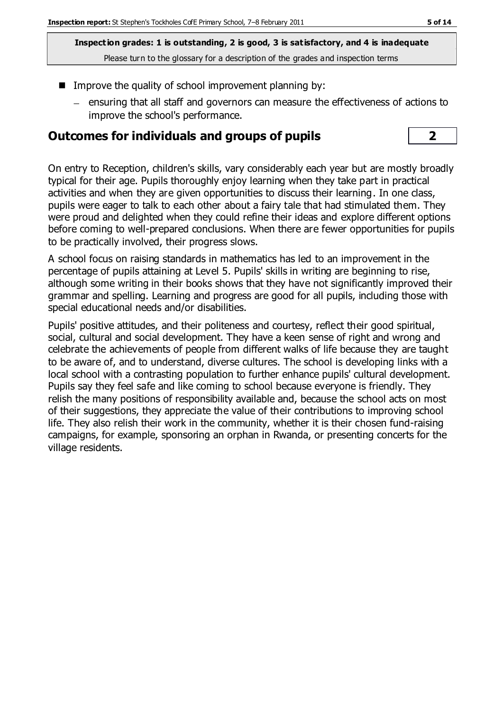**Inspection grades: 1 is outstanding, 2 is good, 3 is satisfactory, and 4 is inadequate** Please turn to the glossary for a description of the grades and inspection terms

- Improve the quality of school improvement planning by:
	- ensuring that all staff and governors can measure the effectiveness of actions to improve the school's performance.

#### **Outcomes for individuals and groups of pupils 2**

On entry to Reception, children's skills, vary considerably each year but are mostly broadly typical for their age. Pupils thoroughly enjoy learning when they take part in practical activities and when they are given opportunities to discuss their learning. In one class, pupils were eager to talk to each other about a fairy tale that had stimulated them. They were proud and delighted when they could refine their ideas and explore different options before coming to well-prepared conclusions. When there are fewer opportunities for pupils to be practically involved, their progress slows.

A school focus on raising standards in mathematics has led to an improvement in the percentage of pupils attaining at Level 5. Pupils' skills in writing are beginning to rise, although some writing in their books shows that they have not significantly improved their grammar and spelling. Learning and progress are good for all pupils, including those with special educational needs and/or disabilities.

Pupils' positive attitudes, and their politeness and courtesy, reflect their good spiritual, social, cultural and social development. They have a keen sense of right and wrong and celebrate the achievements of people from different walks of life because they are taught to be aware of, and to understand, diverse cultures. The school is developing links with a local school with a contrasting population to further enhance pupils' cultural development. Pupils say they feel safe and like coming to school because everyone is friendly. They relish the many positions of responsibility available and, because the school acts on most of their suggestions, they appreciate the value of their contributions to improving school life. They also relish their work in the community, whether it is their chosen fund-raising campaigns, for example, sponsoring an orphan in Rwanda, or presenting concerts for the village residents.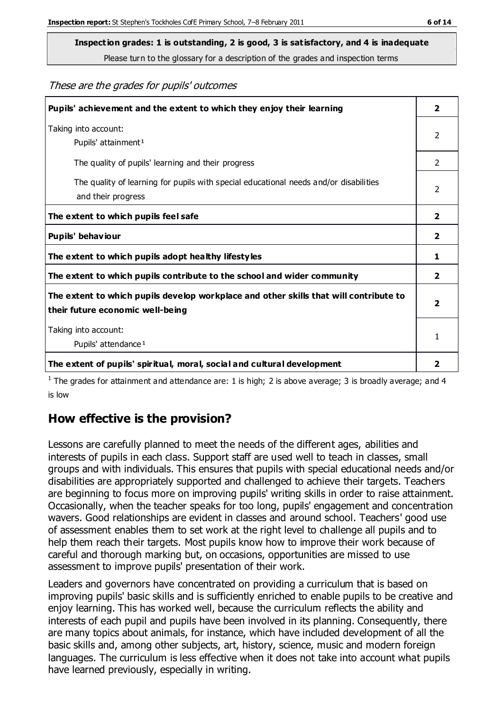**Inspection grades: 1 is outstanding, 2 is good, 3 is satisfactory, and 4 is inadequate**

Please turn to the glossary for a description of the grades and inspection terms

These are the grades for pupils' outcomes

| Pupils' achievement and the extent to which they enjoy their learning                                                     |                |
|---------------------------------------------------------------------------------------------------------------------------|----------------|
| Taking into account:<br>Pupils' attainment <sup>1</sup>                                                                   | 2              |
| The quality of pupils' learning and their progress                                                                        | $\mathcal{P}$  |
| The quality of learning for pupils with special educational needs and/or disabilities<br>and their progress               | $\mathcal{P}$  |
| The extent to which pupils feel safe                                                                                      | $\overline{2}$ |
| Pupils' behaviour                                                                                                         | 2              |
| The extent to which pupils adopt healthy lifestyles                                                                       | 1              |
| The extent to which pupils contribute to the school and wider community                                                   |                |
| The extent to which pupils develop workplace and other skills that will contribute to<br>their future economic well-being |                |
| Taking into account:<br>Pupils' attendance <sup>1</sup>                                                                   |                |
| The extent of pupils' spiritual, moral, social and cultural development                                                   | 2              |

<sup>1</sup> The grades for attainment and attendance are: 1 is high; 2 is above average; 3 is broadly average; and 4 is low

#### **How effective is the provision?**

Lessons are carefully planned to meet the needs of the different ages, abilities and interests of pupils in each class. Support staff are used well to teach in classes, small groups and with individuals. This ensures that pupils with special educational needs and/or disabilities are appropriately supported and challenged to achieve their targets. Teachers are beginning to focus more on improving pupils' writing skills in order to raise attainment. Occasionally, when the teacher speaks for too long, pupils' engagement and concentration wavers. Good relationships are evident in classes and around school. Teachers' good use of assessment enables them to set work at the right level to challenge all pupils and to help them reach their targets. Most pupils know how to improve their work because of careful and thorough marking but, on occasions, opportunities are missed to use assessment to improve pupils' presentation of their work.

Leaders and governors have concentrated on providing a curriculum that is based on improving pupils' basic skills and is sufficiently enriched to enable pupils to be creative and enjoy learning. This has worked well, because the curriculum reflects the ability and interests of each pupil and pupils have been involved in its planning. Consequently, there are many topics about animals, for instance, which have included development of all the basic skills and, among other subjects, art, history, science, music and modern foreign languages. The curriculum is less effective when it does not take into account what pupils have learned previously, especially in writing.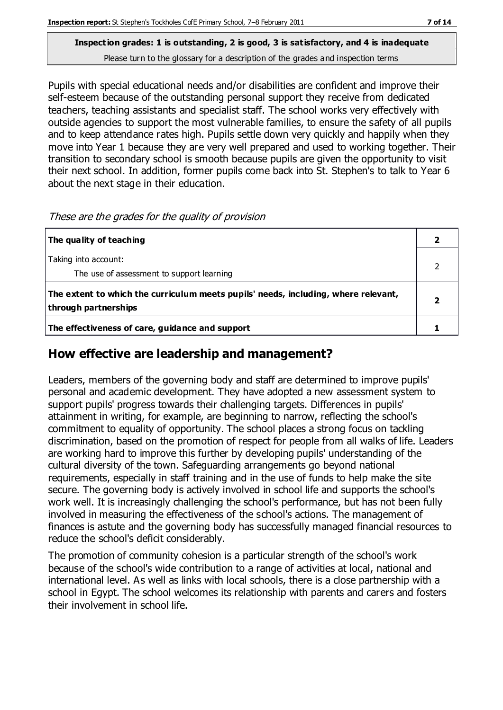# **Inspection grades: 1 is outstanding, 2 is good, 3 is satisfactory, and 4 is inadequate**

Please turn to the glossary for a description of the grades and inspection terms

Pupils with special educational needs and/or disabilities are confident and improve their self-esteem because of the outstanding personal support they receive from dedicated teachers, teaching assistants and specialist staff. The school works very effectively with outside agencies to support the most vulnerable families, to ensure the safety of all pupils and to keep attendance rates high. Pupils settle down very quickly and happily when they move into Year 1 because they are very well prepared and used to working together. Their transition to secondary school is smooth because pupils are given the opportunity to visit their next school. In addition, former pupils come back into St. Stephen's to talk to Year 6 about the next stage in their education.

| The quality of teaching                                                                                    |  |
|------------------------------------------------------------------------------------------------------------|--|
| Taking into account:<br>The use of assessment to support learning                                          |  |
| The extent to which the curriculum meets pupils' needs, including, where relevant,<br>through partnerships |  |
| The effectiveness of care, guidance and support                                                            |  |

#### **How effective are leadership and management?**

Leaders, members of the governing body and staff are determined to improve pupils' personal and academic development. They have adopted a new assessment system to support pupils' progress towards their challenging targets. Differences in pupils' attainment in writing, for example, are beginning to narrow, reflecting the school's commitment to equality of opportunity. The school places a strong focus on tackling discrimination, based on the promotion of respect for people from all walks of life. Leaders are working hard to improve this further by developing pupils' understanding of the cultural diversity of the town. Safeguarding arrangements go beyond national requirements, especially in staff training and in the use of funds to help make the site secure. The governing body is actively involved in school life and supports the school's work well. It is increasingly challenging the school's performance, but has not been fully involved in measuring the effectiveness of the school's actions. The management of finances is astute and the governing body has successfully managed financial resources to reduce the school's deficit considerably.

The promotion of community cohesion is a particular strength of the school's work because of the school's wide contribution to a range of activities at local, national and international level. As well as links with local schools, there is a close partnership with a school in Egypt. The school welcomes its relationship with parents and carers and fosters their involvement in school life.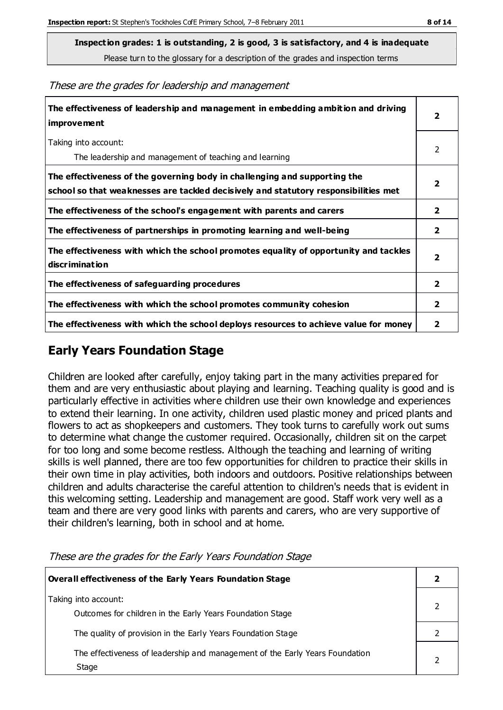**Inspection grades: 1 is outstanding, 2 is good, 3 is satisfactory, and 4 is inadequate**

Please turn to the glossary for a description of the grades and inspection terms

These are the grades for leadership and management

| The effectiveness of leadership and management in embedding ambition and driving<br>improvement                                                                  |                         |
|------------------------------------------------------------------------------------------------------------------------------------------------------------------|-------------------------|
| Taking into account:<br>The leadership and management of teaching and learning                                                                                   | 2                       |
| The effectiveness of the governing body in challenging and supporting the<br>school so that weaknesses are tackled decisively and statutory responsibilities met | $\overline{\mathbf{2}}$ |
| The effectiveness of the school's engagement with parents and carers                                                                                             | $\mathbf{2}$            |
| The effectiveness of partnerships in promoting learning and well-being                                                                                           | $\mathbf{2}$            |
| The effectiveness with which the school promotes equality of opportunity and tackles<br>discrimination                                                           | $\overline{\mathbf{2}}$ |
| The effectiveness of safeguarding procedures                                                                                                                     | $\overline{\mathbf{2}}$ |
| The effectiveness with which the school promotes community cohesion                                                                                              | $\mathbf{2}$            |
| The effectiveness with which the school deploys resources to achieve value for money                                                                             | 2                       |

#### **Early Years Foundation Stage**

Children are looked after carefully, enjoy taking part in the many activities prepared for them and are very enthusiastic about playing and learning. Teaching quality is good and is particularly effective in activities where children use their own knowledge and experiences to extend their learning. In one activity, children used plastic money and priced plants and flowers to act as shopkeepers and customers. They took turns to carefully work out sums to determine what change the customer required. Occasionally, children sit on the carpet for too long and some become restless. Although the teaching and learning of writing skills is well planned, there are too few opportunities for children to practice their skills in their own time in play activities, both indoors and outdoors. Positive relationships between children and adults characterise the careful attention to children's needs that is evident in this welcoming setting. Leadership and management are good. Staff work very well as a team and there are very good links with parents and carers, who are very supportive of their children's learning, both in school and at home.

**Overall effectiveness of the Early Years Foundation Stage 2** Taking into account: Outcomes for children in the Early Years Foundation Stage 2 The quality of provision in the Early Years Foundation Stage 2 The effectiveness of leadership and management of the Early Years Foundation Stage 2

These are the grades for the Early Years Foundation Stage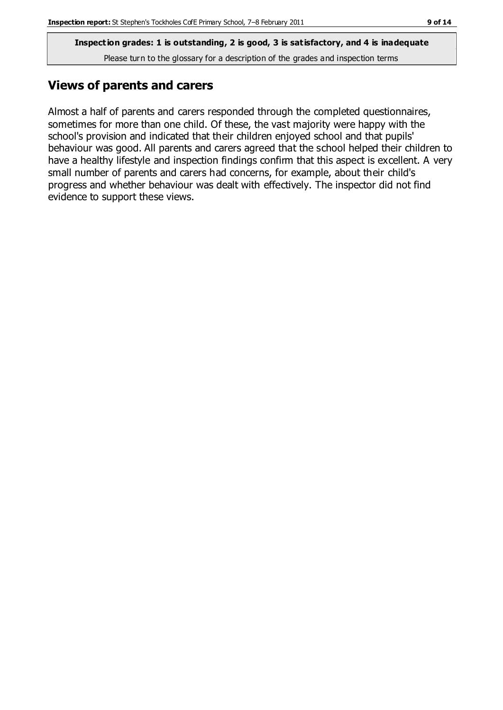**Inspection grades: 1 is outstanding, 2 is good, 3 is satisfactory, and 4 is inadequate** Please turn to the glossary for a description of the grades and inspection terms

#### **Views of parents and carers**

Almost a half of parents and carers responded through the completed questionnaires, sometimes for more than one child. Of these, the vast majority were happy with the school's provision and indicated that their children enjoyed school and that pupils' behaviour was good. All parents and carers agreed that the school helped their children to have a healthy lifestyle and inspection findings confirm that this aspect is excellent. A very small number of parents and carers had concerns, for example, about their child's progress and whether behaviour was dealt with effectively. The inspector did not find evidence to support these views.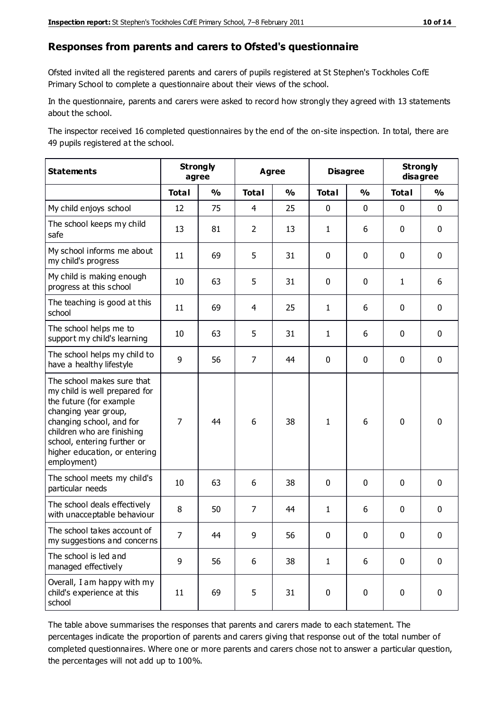#### **Responses from parents and carers to Ofsted's questionnaire**

Ofsted invited all the registered parents and carers of pupils registered at St Stephen's Tockholes CofE Primary School to complete a questionnaire about their views of the school.

In the questionnaire, parents and carers were asked to record how strongly they agreed with 13 statements about the school.

The inspector received 16 completed questionnaires by the end of the on-site inspection. In total, there are 49 pupils registered at the school.

| <b>Statements</b>                                                                                                                                                                                                                                       | <b>Strongly</b><br>agree |               | <b>Agree</b>   |               | <b>Disagree</b> |               | <b>Strongly</b><br>disagree |               |
|---------------------------------------------------------------------------------------------------------------------------------------------------------------------------------------------------------------------------------------------------------|--------------------------|---------------|----------------|---------------|-----------------|---------------|-----------------------------|---------------|
|                                                                                                                                                                                                                                                         | <b>Total</b>             | $\frac{0}{0}$ | <b>Total</b>   | $\frac{0}{0}$ | <b>Total</b>    | $\frac{0}{0}$ | <b>Total</b>                | $\frac{0}{0}$ |
| My child enjoys school                                                                                                                                                                                                                                  | 12                       | 75            | 4              | 25            | 0               | $\mathbf 0$   | 0                           | $\mathbf 0$   |
| The school keeps my child<br>safe                                                                                                                                                                                                                       | 13                       | 81            | $\overline{2}$ | 13            | $\mathbf{1}$    | 6             | $\mathbf 0$                 | $\mathbf 0$   |
| My school informs me about<br>my child's progress                                                                                                                                                                                                       | 11                       | 69            | 5              | 31            | 0               | $\mathbf 0$   | $\mathbf 0$                 | $\mathbf 0$   |
| My child is making enough<br>progress at this school                                                                                                                                                                                                    | 10                       | 63            | 5              | 31            | 0               | $\mathbf 0$   | $\mathbf{1}$                | 6             |
| The teaching is good at this<br>school                                                                                                                                                                                                                  | 11                       | 69            | 4              | 25            | $\mathbf{1}$    | 6             | $\mathbf 0$                 | $\mathbf 0$   |
| The school helps me to<br>support my child's learning                                                                                                                                                                                                   | 10                       | 63            | 5              | 31            | $\mathbf{1}$    | 6             | $\mathbf 0$                 | $\mathbf 0$   |
| The school helps my child to<br>have a healthy lifestyle                                                                                                                                                                                                | 9                        | 56            | $\overline{7}$ | 44            | $\mathbf 0$     | $\mathbf 0$   | $\mathbf 0$                 | $\mathbf 0$   |
| The school makes sure that<br>my child is well prepared for<br>the future (for example<br>changing year group,<br>changing school, and for<br>children who are finishing<br>school, entering further or<br>higher education, or entering<br>employment) | $\overline{7}$           | 44            | 6              | 38            | $\mathbf{1}$    | 6             | $\mathbf 0$                 | $\mathbf 0$   |
| The school meets my child's<br>particular needs                                                                                                                                                                                                         | 10                       | 63            | 6              | 38            | $\mathbf 0$     | $\mathbf 0$   | $\mathbf 0$                 | $\mathbf 0$   |
| The school deals effectively<br>with unacceptable behaviour                                                                                                                                                                                             | 8                        | 50            | $\overline{7}$ | 44            | $\mathbf{1}$    | 6             | $\mathbf 0$                 | $\mathbf 0$   |
| The school takes account of<br>my suggestions and concerns                                                                                                                                                                                              | 7                        | 44            | 9              | 56            | 0               | $\mathbf 0$   | 0                           | 0             |
| The school is led and<br>managed effectively                                                                                                                                                                                                            | 9                        | 56            | 6              | 38            | $\mathbf{1}$    | 6             | $\mathbf 0$                 | $\mathbf 0$   |
| Overall, I am happy with my<br>child's experience at this<br>school                                                                                                                                                                                     | 11                       | 69            | 5              | 31            | $\pmb{0}$       | $\pmb{0}$     | $\pmb{0}$                   | $\pmb{0}$     |

The table above summarises the responses that parents and carers made to each statement. The percentages indicate the proportion of parents and carers giving that response out of the total number of completed questionnaires. Where one or more parents and carers chose not to answer a particular question, the percentages will not add up to 100%.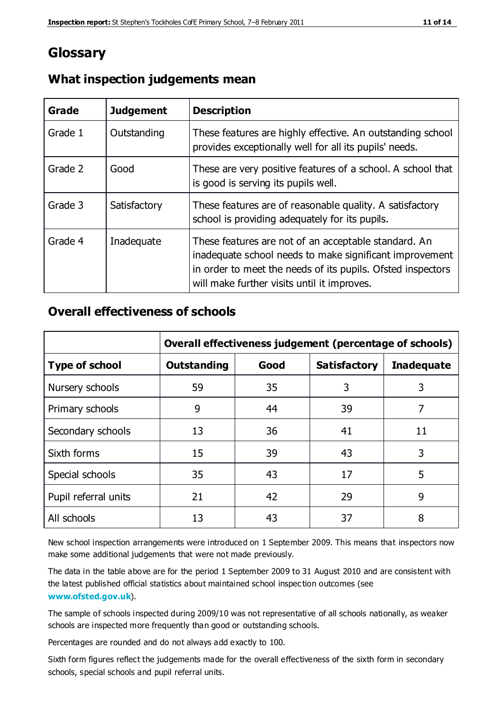#### **Glossary**

| Grade   | <b>Judgement</b> | <b>Description</b>                                                                                                                                                                                                            |
|---------|------------------|-------------------------------------------------------------------------------------------------------------------------------------------------------------------------------------------------------------------------------|
| Grade 1 | Outstanding      | These features are highly effective. An outstanding school<br>provides exceptionally well for all its pupils' needs.                                                                                                          |
| Grade 2 | Good             | These are very positive features of a school. A school that<br>is good is serving its pupils well.                                                                                                                            |
| Grade 3 | Satisfactory     | These features are of reasonable quality. A satisfactory<br>school is providing adequately for its pupils.                                                                                                                    |
| Grade 4 | Inadequate       | These features are not of an acceptable standard. An<br>inadequate school needs to make significant improvement<br>in order to meet the needs of its pupils. Ofsted inspectors<br>will make further visits until it improves. |

#### **What inspection judgements mean**

#### **Overall effectiveness of schools**

|                       | Overall effectiveness judgement (percentage of schools) |      |                     |                   |
|-----------------------|---------------------------------------------------------|------|---------------------|-------------------|
| <b>Type of school</b> | <b>Outstanding</b>                                      | Good | <b>Satisfactory</b> | <b>Inadequate</b> |
| Nursery schools       | 59                                                      | 35   | 3                   | 3                 |
| Primary schools       | 9                                                       | 44   | 39                  | 7                 |
| Secondary schools     | 13                                                      | 36   | 41                  | 11                |
| Sixth forms           | 15                                                      | 39   | 43                  | 3                 |
| Special schools       | 35                                                      | 43   | 17                  | 5                 |
| Pupil referral units  | 21                                                      | 42   | 29                  | 9                 |
| All schools           | 13                                                      | 43   | 37                  | 8                 |

New school inspection arrangements were introduced on 1 September 2009. This means that inspectors now make some additional judgements that were not made previously.

The data in the table above are for the period 1 September 2009 to 31 August 2010 and are consistent with the latest published official statistics about maintained school inspec tion outcomes (see **[www.ofsted.gov.uk](http://www.ofsted.gov.uk/)**).

The sample of schools inspected during 2009/10 was not representative of all schools nationally, as weaker schools are inspected more frequently than good or outstanding schools.

Percentages are rounded and do not always add exactly to 100.

Sixth form figures reflect the judgements made for the overall effectiveness of the sixth form in secondary schools, special schools and pupil referral units.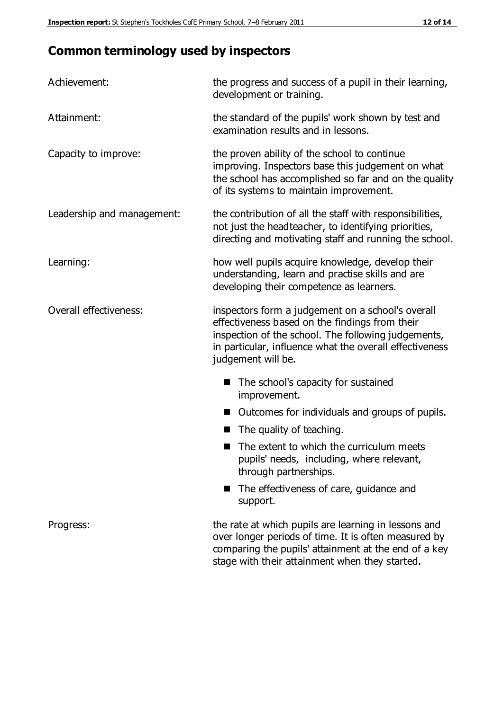### **Common terminology used by inspectors**

| Achievement:               | the progress and success of a pupil in their learning,<br>development or training.                                                                                                                                                          |
|----------------------------|---------------------------------------------------------------------------------------------------------------------------------------------------------------------------------------------------------------------------------------------|
| Attainment:                | the standard of the pupils' work shown by test and<br>examination results and in lessons.                                                                                                                                                   |
| Capacity to improve:       | the proven ability of the school to continue<br>improving. Inspectors base this judgement on what<br>the school has accomplished so far and on the quality<br>of its systems to maintain improvement.                                       |
| Leadership and management: | the contribution of all the staff with responsibilities,<br>not just the headteacher, to identifying priorities,<br>directing and motivating staff and running the school.                                                                  |
| Learning:                  | how well pupils acquire knowledge, develop their<br>understanding, learn and practise skills and are<br>developing their competence as learners.                                                                                            |
| Overall effectiveness:     | inspectors form a judgement on a school's overall<br>effectiveness based on the findings from their<br>inspection of the school. The following judgements,<br>in particular, influence what the overall effectiveness<br>judgement will be. |
|                            | The school's capacity for sustained<br>improvement.                                                                                                                                                                                         |
|                            | Outcomes for individuals and groups of pupils.                                                                                                                                                                                              |
|                            | The quality of teaching.                                                                                                                                                                                                                    |
|                            | The extent to which the curriculum meets<br>pupils' needs, including, where relevant,<br>through partnerships.                                                                                                                              |
|                            | The effectiveness of care, guidance and<br>support.                                                                                                                                                                                         |
| Progress:                  | the rate at which pupils are learning in lessons and<br>over longer periods of time. It is often measured by<br>comparing the pupils' attainment at the end of a key                                                                        |

stage with their attainment when they started.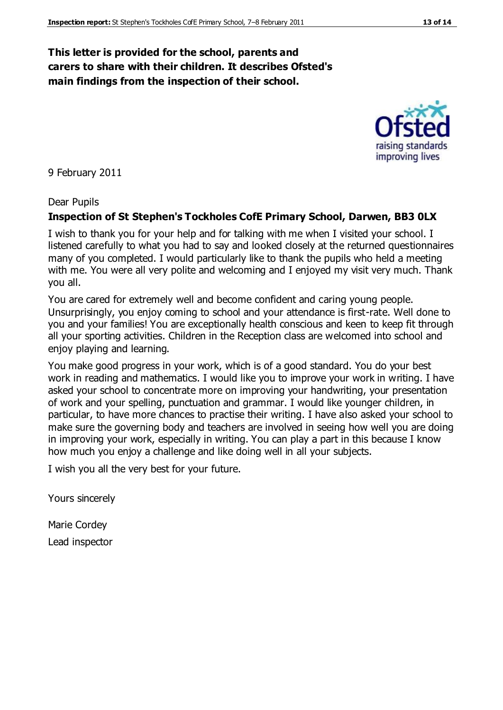#### **This letter is provided for the school, parents and carers to share with their children. It describes Ofsted's main findings from the inspection of their school.**

9 February 2011

#### Dear Pupils

#### **Inspection of St Stephen's Tockholes CofE Primary School, Darwen, BB3 0LX**

I wish to thank you for your help and for talking with me when I visited your school. I listened carefully to what you had to say and looked closely at the returned questionnaires many of you completed. I would particularly like to thank the pupils who held a meeting with me. You were all very polite and welcoming and I enjoyed my visit very much. Thank you all.

You are cared for extremely well and become confident and caring young people. Unsurprisingly, you enjoy coming to school and your attendance is first-rate. Well done to you and your families! You are exceptionally health conscious and keen to keep fit through all your sporting activities. Children in the Reception class are welcomed into school and enjoy playing and learning.

You make good progress in your work, which is of a good standard. You do your best work in reading and mathematics. I would like you to improve your work in writing. I have asked your school to concentrate more on improving your handwriting, your presentation of work and your spelling, punctuation and grammar. I would like younger children, in particular, to have more chances to practise their writing. I have also asked your school to make sure the governing body and teachers are involved in seeing how well you are doing in improving your work, especially in writing. You can play a part in this because I know how much you enjoy a challenge and like doing well in all your subjects.

I wish you all the very best for your future.

Yours sincerely

Marie Cordey Lead inspector